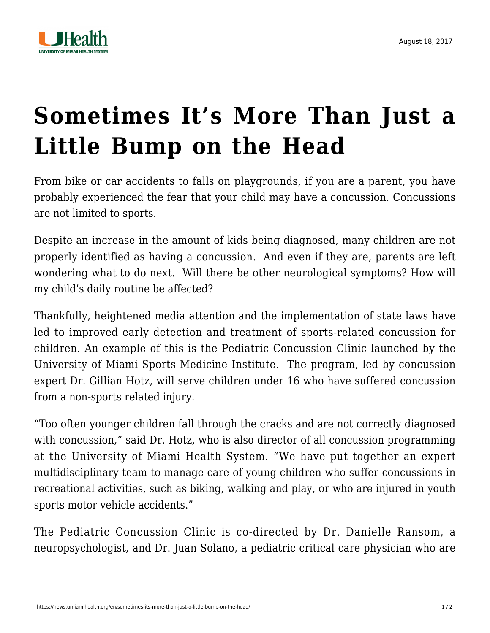

## **[Sometimes It's More Than Just a](https://news.umiamihealth.org/en/sometimes-its-more-than-just-a-little-bump-on-the-head/) [Little Bump on the Head](https://news.umiamihealth.org/en/sometimes-its-more-than-just-a-little-bump-on-the-head/)**

From bike or car accidents to falls on playgrounds, if you are a parent, you have probably experienced the fear that your child may have a concussion. Concussions are not limited to sports.

Despite an increase in the amount of kids being diagnosed, many children are not properly identified as having a concussion. And even if they are, parents are left wondering what to do next. Will there be other neurological symptoms? How will my child's daily routine be affected?

Thankfully, heightened media attention and the implementation of state laws have led to improved early detection and treatment of sports-related concussion for children. An example of this is the Pediatric Concussion Clinic launched by the University of Miami Sports Medicine Institute. The program, led by concussion expert Dr. Gillian Hotz, will serve children under 16 who have suffered concussion from a non-sports related injury.

"Too often younger children fall through the cracks and are not correctly diagnosed with concussion," said Dr. Hotz, who is also director of all concussion programming at the University of Miami Health System. "We have put together an expert multidisciplinary team to manage care of young children who suffer concussions in recreational activities, such as biking, walking and play, or who are injured in youth sports motor vehicle accidents."

The Pediatric Concussion Clinic is co-directed by Dr. Danielle Ransom, a neuropsychologist, and Dr. Juan Solano, a pediatric critical care physician who are